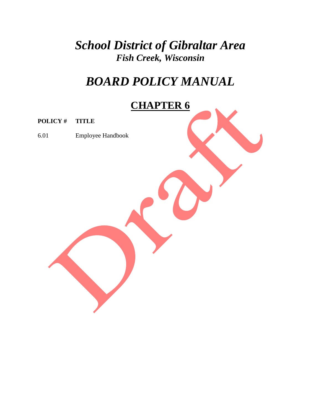*School District of Gibraltar Area Fish Creek, Wisconsin*

# *BOARD POLICY MANUAL*

# **CHAPTER 6**

**POLICY # TITLE**

6.01 Employee Handbook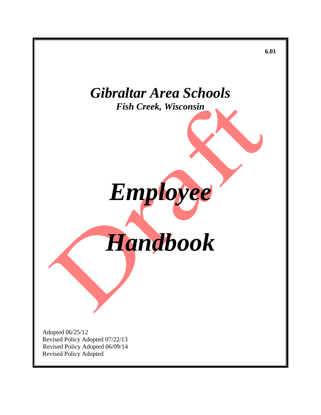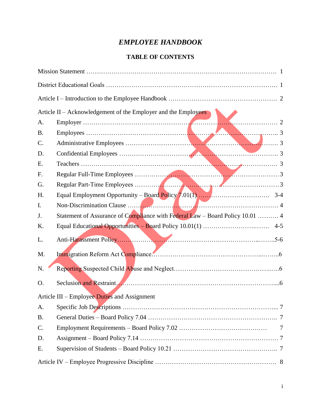## *EMPLOYEE HANDBOOK*

## **TABLE OF CONTENTS**

|           | Article II – Acknowledgement of the Employer and the Employees                |
|-----------|-------------------------------------------------------------------------------|
| A.        |                                                                               |
| <b>B.</b> |                                                                               |
| C.        |                                                                               |
| D.        |                                                                               |
| E.        |                                                                               |
| F.        |                                                                               |
| G.        |                                                                               |
| H.        |                                                                               |
| I.        |                                                                               |
| J.        | Statement of Assurance of Compliance with Federal Law – Board Policy 10.01  4 |
| K.        |                                                                               |
| L.        |                                                                               |
| M.        |                                                                               |
| N.        |                                                                               |
| O.        | Seclusion and Restraint.                                                      |
|           | Article III – Employee Duties and Assignment                                  |
| A.        |                                                                               |
| <b>B.</b> |                                                                               |
| C.        | 7                                                                             |
| D.        |                                                                               |
| E.        |                                                                               |
|           |                                                                               |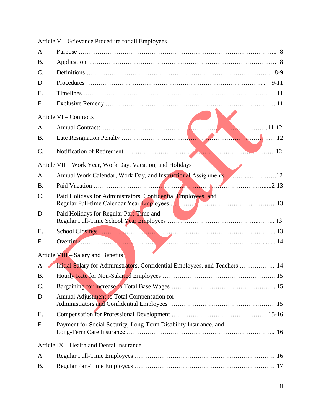|           | OTIC valled 1 Tocought 101 am Employees                                     |  |
|-----------|-----------------------------------------------------------------------------|--|
| A.        |                                                                             |  |
| <b>B.</b> |                                                                             |  |
| C.        |                                                                             |  |
| D.        |                                                                             |  |
| Ε.        |                                                                             |  |
| F.        |                                                                             |  |
|           | Article VI – Contracts                                                      |  |
| A.        |                                                                             |  |
| <b>B.</b> |                                                                             |  |
| C.        |                                                                             |  |
|           | Article VII - Work Year, Work Day, Vacation, and Holidays                   |  |
| A.        | Annual Work Calendar, Work Day, and Instructional Assignments 12            |  |
| <b>B.</b> |                                                                             |  |
| C.        | Paid Holidays for Administrators, Confidential Employees, and               |  |
| D.        | Paid Holidays for Regular Part-Time and                                     |  |
| Ε.        |                                                                             |  |
| F.        | Overtime.                                                                   |  |
|           | Article VIII - Salary and Benefits                                          |  |
| A.        | Initial Salary for Administrators, Confidential Employees, and Teachers  14 |  |
| <b>B.</b> |                                                                             |  |
| C.        |                                                                             |  |
| D.        | Annual Adjustment to Total Compensation for                                 |  |
| Ε.        |                                                                             |  |
| F.        | Payment for Social Security, Long-Term Disability Insurance, and            |  |
|           | Article IX – Health and Dental Insurance                                    |  |
| A.        |                                                                             |  |
| <b>B.</b> |                                                                             |  |
|           |                                                                             |  |

Article V – Grievance Procedure for all Employees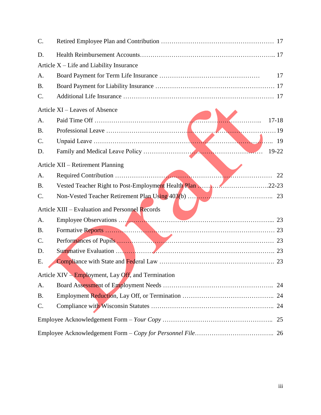| C.        |                                                     |                |
|-----------|-----------------------------------------------------|----------------|
| D.        |                                                     |                |
|           | Article X – Life and Liability Insurance            |                |
| A.        |                                                     | 17             |
| <b>B.</b> |                                                     |                |
| C.        |                                                     |                |
|           | Article XI – Leaves of Absence                      |                |
| A.        |                                                     | .<br>$17 - 18$ |
| <b>B.</b> |                                                     |                |
| C.        |                                                     | 19             |
| D.        |                                                     |                |
|           | Article XII – Retirement Planning                   |                |
| A.        |                                                     | 22             |
| <b>B.</b> | Vested Teacher Right to Post-Employment Health Plan |                |
| C.        |                                                     |                |
|           | Article XIII - Evaluation and Personnel Records     |                |
| A.        |                                                     |                |
| <b>B.</b> |                                                     |                |
| C.        |                                                     |                |
| D.        |                                                     |                |
| Е.        |                                                     | 23             |
|           | Article XIV – Employment, Lay Off, and Termination  |                |
| A.        |                                                     | 24             |
| <b>B.</b> |                                                     |                |
| C.        |                                                     | 24             |
|           |                                                     | 25             |
|           |                                                     |                |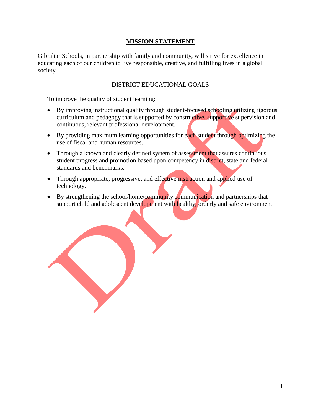## **MISSION STATEMENT**

Gibraltar Schools, in partnership with family and community, will strive for excellence in educating each of our children to live responsible, creative, and fulfilling lives in a global society.

## DISTRICT EDUCATIONAL GOALS

To improve the quality of student learning:

- By improving instructional quality through student-focused schooling utilizing rigorous curriculum and pedagogy that is supported by constructive, supportive supervision and continuous, relevant professional development.
- By providing maximum learning opportunities for each student through optimizing the use of fiscal and human resources.
- Through a known and clearly defined system of assessment that assures continuous student progress and promotion based upon competency in district, state and federal standards and benchmarks.
- Through appropriate, progressive, and effective instruction and applied use of technology.
- $\bullet$  By strengthening the school/home/community communication and partnerships that support child and adolescent development with healthy, orderly and safe environment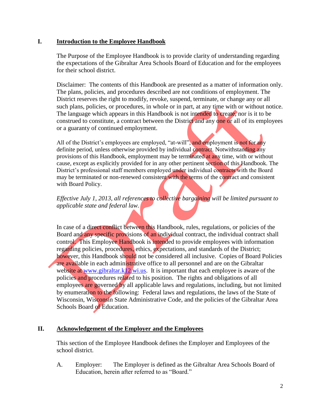## **I. Introduction to the Employee Handbook**

The Purpose of the Employee Handbook is to provide clarity of understanding regarding the expectations of the Gibraltar Area Schools Board of Education and for the employees for their school district.

Disclaimer: The contents of this Handbook are presented as a matter of information only. The plans, policies, and procedures described are not conditions of employment. The District reserves the right to modify, revoke, suspend, terminate, or change any or all such plans, policies, or procedures, in whole or in part, at any time with or without notice. The language which appears in this Handbook is not intended to create, nor is it to be construed to constitute, a contract between the District and any one or all of its employees or a guaranty of continued employment.

All of the District's employees are employed, "at-will", and employment is not for any definite period, unless otherwise provided by individual contract. Notwithstanding any provisions of this Handbook, employment may be terminated at any time, with or without cause, except as explicitly provided for in any other pertinent section of this Handbook. The District's professional staff members employed under individual contracts with the Board may be terminated or non-renewed consistent with the terms of the contract and consistent with Board Policy.

## *Effective July 1, 2013, all references to collective bargaining will be limited pursuant to applicable state and federal law.*

In case of a direct conflict between this Handbook, rules, regulations, or policies of the Board and any specific provisions of an individual contract, the individual contract shall control. This Employee Handbook is intended to provide employees with information regarding policies, procedures, ethics, expectations, and standards of the District; however, this Handbook should not be considered all inclusive. Copies of Board Policies are available in each administrative office to all personnel and are on the Gibraltar website at [www.gibraltar.k12.wi.us.](http://www.gibraltar.k12.wi.us/) It is important that each employee is aware of the policies and procedures related to his position. The rights and obligations of all employees are governed by all applicable laws and regulations, including, but not limited by enumeration to the following: Federal laws and regulations, the laws of the State of Wisconsin, Wisconsin State Administrative Code, and the policies of the Gibraltar Area Schools Board of Education.

## **II. Acknowledgement of the Employer and the Employees**

This section of the Employee Handbook defines the Employer and Employees of the school district.

A. Employer: The Employer is defined as the Gibraltar Area Schools Board of Education, herein after referred to as "Board."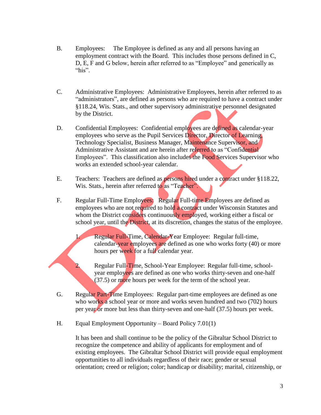- B. Employees: The Employee is defined as any and all persons having an employment contract with the Board. This includes those persons defined in C, D, E, F and G below, herein after referred to as "Employee" and generically as "his".
- C. Administrative Employees: Administrative Employees, herein after referred to as "administrators", are defined as persons who are required to have a contract under §118.24, Wis. Stats., and other supervisory administrative personnel designated by the District.
- D. Confidential Employees: Confidential employees are defined as calendar-year employees who serve as the Pupil Services Director, Director of Learning, Technology Specialist, Business Manager, Maintenance Supervisor, and Administrative Assistant and are herein after referred to as "Confidential" Employees". This classification also includes the Food Services Supervisor who works an extended school-year calendar.
- E. Teachers: Teachers are defined as **persons hired** under a contract under §118.22, Wis. Stats., herein after referred to as "Teacher".
- F. Regular Full-Time Employees: Regular Full-time Employees are defined as employees who are not required to hold a contract under Wisconsin Statutes and whom the District considers continuously employed, working either a fiscal or school year, until the District, at its discretion, changes the status of the employee.

1. Regular Full-Time, Calendar-Year Employee: Regular full-time, calendar-year employees are defined as one who works forty (40) or more hours per week for a full calendar year.

- 2. Regular Full-Time, School-Year Employee: Regular full-time, schoolyear employees are defined as one who works thirty-seven and one-half (37.5) or more hours per week for the term of the school year.
- G. Regular Part-Time Employees: Regular part-time employees are defined as one who works a school year or more and works seven hundred and two (702) hours per year or more but less than thirty-seven and one-half (37.5) hours per week.
- H. Equal Employment Opportunity Board Policy 7.01(1)

It has been and shall continue to be the policy of the Gibraltar School District to recognize the competence and ability of applicants for employment and of existing employees. The Gibraltar School District will provide equal employment opportunities to all individuals regardless of their race; gender or sexual orientation; creed or religion; color; handicap or disability; marital, citizenship, or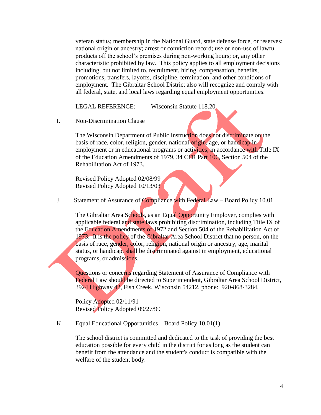veteran status; membership in the National Guard, state defense force, or reserves; national origin or ancestry; arrest or conviction record; use or non-use of lawful products off the school's premises during non-working hours; or, any other characteristic prohibited by law. This policy applies to all employment decisions including, but not limited to, recruitment, hiring, compensation, benefits, promotions, transfers, layoffs, discipline, termination, and other conditions of employment. The Gibraltar School District also will recognize and comply with all federal, state, and local laws regarding equal employment opportunities.

LEGAL REFERENCE: Wisconsin Statute 118.20

I. Non-Discrimination Clause

The Wisconsin Department of Public Instruction does not discriminate on the basis of race, color, religion, gender, national origin, age, or handicap in employment or in educational programs or activities, in accordance with Title IX of the Education Amendments of 1979, 34 CFR Part 106, Section 504 of the Rehabilitation Act of 1973.

Revised Policy Adopted 02/08/99 Revised Policy Adopted 10/13/03

J. Statement of Assurance of Compliance with Federal Law – Board Policy 10.01

The Gibraltar Area Schools, as an Equal Opportunity Employer, complies with applicable federal and state laws prohibiting discrimination, including Title IX of the Education Amendments of 1972 and Section 504 of the Rehabilitation Act of 1973. It is the policy of the Gibraltar Area School District that no person, on the basis of race, gender, color, religion, national origin or ancestry, age, marital status, or handicap, shall be discriminated against in employment, educational programs, or admissions.

Questions or concerns regarding Statement of Assurance of Compliance with Federal Law should be directed to Superintendent, Gibraltar Area School District, 3924 Highway 42, Fish Creek, Wisconsin 54212, phone: 920-868-3284.

Policy Adopted 02/11/91 Revised Policy Adopted 09/27/99

K. Equal Educational Opportunities – Board Policy 10.01(1)

The school district is committed and dedicated to the task of providing the best education possible for every child in the district for as long as the student can benefit from the attendance and the student's conduct is compatible with the welfare of the student body.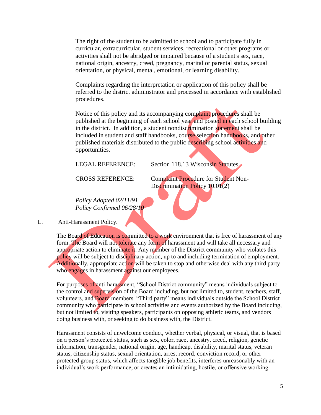The right of the student to be admitted to school and to participate fully in curricular, extracurricular, student services, recreational or other programs or activities shall not be abridged or impaired because of a student's sex, race, national origin, ancestry, creed, pregnancy, marital or parental status, sexual orientation, or physical, mental, emotional, or learning disability.

Complaints regarding the interpretation or application of this policy shall be referred to the district administrator and processed in accordance with established procedures.

Notice of this policy and its accompanying complaint procedures shall be published at the beginning of each school year and posted in each school building in the district. In addition, a student nondiscrimination statement shall be included in student and staff handbooks, course selection handbooks, and other published materials distributed to the public describing school activities and opportunities.

LEGAL REFERENCE: Section 118.13 Wisconsin Statutes

CROSS REFERENCE: Complaint Procedure for Student Non-Discrimination Policy 10.01(2)

*Policy Adopted 02/11/91 Policy Confirmed 06/28/10*

L. Anti-Harassment Policy.

The Board of Education is committed to a work environment that is free of harassment of any form. The Board will not tolerate any form of harassment and will take all necessary and appropriate action to eliminate it. Any member of the District community who violates this policy will be subject to disciplinary action, up to and including termination of employment. Additionally, appropriate action will be taken to stop and otherwise deal with any third party who engages in harassment against our employees.

For purposes of anti-harassment, "School District community" means individuals subject to the control and supervision of the Board including, but not limited to, student, teachers, staff, volunteers, and Board members. "Third party" means individuals outside the School District community who participate in school activities and events authorized by the Board including, but not limited to, visiting speakers, participants on opposing athletic teams, and vendors doing business with, or seeking to do business with, the District.

Harassment consists of unwelcome conduct, whether verbal, physical, or visual, that is based on a person's protected status, such as sex, color, race, ancestry, creed, religion, genetic information, transgender, national origin, age, handicap, disability, marital status, veteran status, citizenship status, sexual orientation, arrest record, conviction record, or other protected group status, which affects tangible job benefits, interferes unreasonably with an individual's work performance, or creates an intimidating, hostile, or offensive working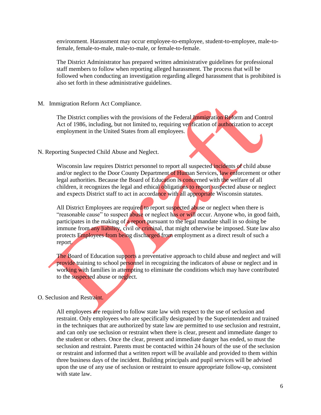environment. Harassment may occur employee-to-employee, student-to-employee, male-tofemale, female-to-male, male-to-male, or female-to-female.

The District Administrator has prepared written administrative guidelines for professional staff members to follow when reporting alleged harassment. The process that will be followed when conducting an investigation regarding alleged harassment that is prohibited is also set forth in these administrative guidelines.

#### M. Immigration Reform Act Compliance.

The District complies with the provisions of the Federal Immigration Reform and Control Act of 1986, including, but not limited to, requiring verification of authorization to accept employment in the United States from all employees.

#### N. Reporting Suspected Child Abuse and Neglect.

Wisconsin law requires District personnel to report all suspected incidents of child abuse and/or neglect to the Door County Department of Human Services, law enforcement or other legal authorities. Because the Board of Education is concerned with the welfare of all children, it recognizes the legal and ethical obligations to report suspected abuse or neglect and expects District staff to act in accordance with all appropriate Wisconsin statutes.

All District Employees are required to report suspected abuse or neglect when there is "reasonable cause" to suspect abuse or neglect has or will occur. Anyone who, in good faith, participates in the making of a report pursuant to the legal mandate shall in so doing be immune from any liability, civil or criminal, that might otherwise be imposed. State law also protects Employees from being discharged from employment as a direct result of such a report.

The Board of Education supports a preventative approach to child abuse and neglect and will provide training to school personnel in recognizing the indicators of abuse or neglect and in working with families in attempting to eliminate the conditions which may have contributed to the suspected abuse or neglect.

#### O. Seclusion and Restraint.

All employees are required to follow state law with respect to the use of seclusion and restraint. Only employees who are specifically designated by the Superintendent and trained in the techniques that are authorized by state law are permitted to use seclusion and restraint, and can only use seclusion or restraint when there is clear, present and immediate danger to the student or others. Once the clear, present and immediate danger has ended, so must the seclusion and restraint. Parents must be contacted within 24 hours of the use of the seclusion or restraint and informed that a written report will be available and provided to them within three business days of the incident. Building principals and pupil services will be advised upon the use of any use of seclusion or restraint to ensure appropriate follow-up, consistent with state law.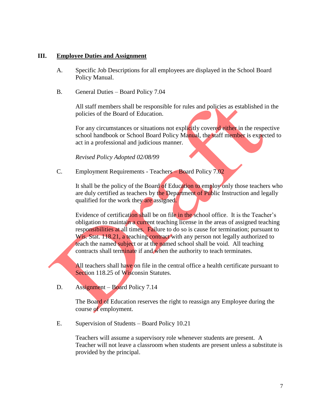## **III. Employee Duties and Assignment**

- A. Specific Job Descriptions for all employees are displayed in the School Board Policy Manual.
- B. General Duties Board Policy 7.04

All staff members shall be responsible for rules and policies as established in the policies of the Board of Education.

For any circumstances or situations not explicitly covered either in the respective school handbook or School Board Policy Manual, the staff member is expected to act in a professional and judicious manner.

*Revised Policy Adopted 02/08/99*

C. Employment Requirements - Teachers – Board Policy 7.02

It shall be the policy of the Board of Education to employ only those teachers who are duly certified as teachers by the Department of Public Instruction and legally qualified for the work they are assigned.

Evidence of certification shall be on file in the school office. It is the Teacher's obligation to maintain a current teaching license in the areas of assigned teaching responsibilities at all times. Failure to do so is cause for termination; pursuant to Wis. Stat. 118.21, a teaching contract with any person not legally authorized to teach the named subject or at the named school shall be void. All teaching contracts shall terminate if and when the authority to teach terminates.

All teachers shall have on file in the central office a health certificate pursuant to Section 118.25 of Wisconsin Statutes.

D. Assignment – Board Policy 7.14

The Board of Education reserves the right to reassign any Employee during the course of employment.

E. Supervision of Students – Board Policy 10.21

Teachers will assume a supervisory role whenever students are present. A Teacher will not leave a classroom when students are present unless a substitute is provided by the principal.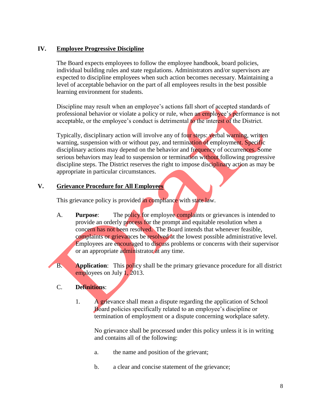## **IV. Employee Progressive Discipline**

The Board expects employees to follow the employee handbook, board policies, individual building rules and state regulations. Administrators and/or supervisors are expected to discipline employees when such action becomes necessary. Maintaining a level of acceptable behavior on the part of all employees results in the best possible learning environment for students.

Discipline may result when an employee's actions fall short of accepted standards of professional behavior or violate a policy or rule, when an employee's performance is not acceptable, or the employee's conduct is detrimental to the interest of the District.

Typically, disciplinary action will involve any of four steps: verbal warning, written warning, suspension with or without pay, and termination of employment. Specific disciplinary actions may depend on the behavior and frequency of occurrences. Some serious behaviors may lead to suspension or termination without following progressive discipline steps. The District reserves the right to impose disciplinary action as may be appropriate in particular circumstances.

## **V. Grievance Procedure for All Employees**

This grievance policy is provided in compliance with state law.

- A. **Purpose**: The policy for employee complaints or grievances is intended to provide an orderly process for the prompt and equitable resolution when a concern has not been resolved. The Board intends that whenever feasible, complaints or grievances be resolved at the lowest possible administrative level. Employees are encouraged to discuss problems or concerns with their supervisor or an appropriate administrator at any time.
- B. **Application**: This **policy** shall be the primary grievance procedure for all district employees on July 1, 2013.

## C. **Definitions**:

1. A grievance shall mean a dispute regarding the application of School Board policies specifically related to an employee's discipline or termination of employment or a dispute concerning workplace safety.

No grievance shall be processed under this policy unless it is in writing and contains all of the following:

- a. the name and position of the grievant;
- b. a clear and concise statement of the grievance;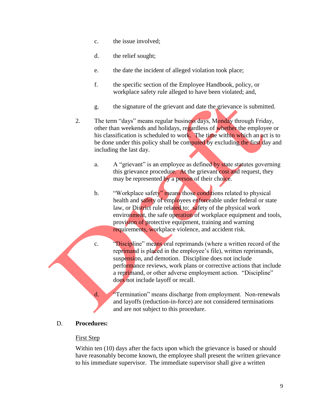- c. the issue involved;
- d. the relief sought;
- e. the date the incident of alleged violation took place;
- f. the specific section of the Employee Handbook, policy, or workplace safety rule alleged to have been violated; and,
- g. the signature of the grievant and date the grievance is submitted.
- 2. The term "days" means regular business days, Monday through Friday, other than weekends and holidays, regardless of whether the employee or his classification is scheduled to work. The time within which an act is to be done under this policy shall be computed by excluding the first day and including the last day.
	- a. A "grievant" is an employee as defined by state statutes governing this grievance procedure. At the grievant cost and request, they may be represented by a person of their choice.
	- b. "Workplace safety" means those conditions related to physical health and safety of employees enforceable under federal or state law, or District rule related to: safety of the physical work environment, the safe operation of workplace equipment and tools, provision of protective equipment, training and warning requirements, workplace violence, and accident risk.
	- c. "Discipline" means oral reprimands (where a written record of the reprimand is placed in the employee's file), written reprimands, suspension, and demotion. Discipline does not include performance reviews, work plans or corrective actions that include a reprimand, or other adverse employment action. "Discipline" does not include layoff or recall.
	- d. "Termination" means discharge from employment. Non-renewals and layoffs (reduction-in-force) are not considered terminations and are not subject to this procedure.

## D. **Procedures:**

#### First Step

Within ten (10) days after the facts upon which the grievance is based or should have reasonably become known, the employee shall present the written grievance to his immediate supervisor. The immediate supervisor shall give a written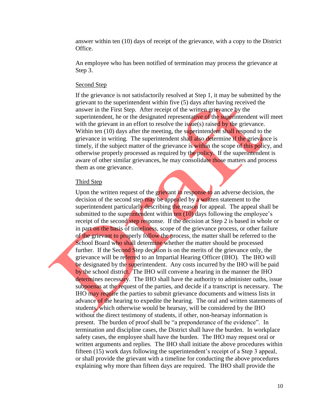answer within ten (10) days of receipt of the grievance, with a copy to the District Office.

An employee who has been notified of termination may process the grievance at Step 3.

#### Second Step

If the grievance is not satisfactorily resolved at Step 1, it may be submitted by the grievant to the superintendent within five (5) days after having received the answer in the First Step. After receipt of the written grievance by the superintendent, he or the designated representative of the superintendent will meet with the grievant in an effort to resolve the issue(s) raised by the grievance. Within ten (10) days after the meeting, the superintendent shall respond to the grievance in writing. The superintendent shall also determine if the grievance is timely, if the subject matter of the grievance is within the scope of this policy, and otherwise properly processed as required by the policy. If the superintendent is aware of other similar grievances, he may consolidate those matters and process them as one grievance.

#### Third Step

Upon the written request of the grievant in response to an adverse decision, the decision of the second step may be appealed by a written statement to the superintendent particularly describing the reason for appeal. The appeal shall be submitted to the superintendent within ten (10) days following the employee's receipt of the second step response. If the decision at Step 2 is based in whole or in part on the basis of timeliness, scope of the grievance process, or other failure of the grievant to properly follow the process, the matter shall be referred to the School Board who shall determine whether the matter should be processed further. If the Second Step decision is on the merits of the grievance only, the grievance will be referred to an Impartial Hearing Officer (IHO). The IHO will be designated by the superintendent. Any costs incurred by the IHO will be paid by the school district. The IHO will convene a hearing in the manner the IHO determines necessary. The IHO shall have the authority to administer oaths, issue subpoenas at the request of the parties, and decide if a transcript is necessary. The IHO may require the parties to submit grievance documents and witness lists in advance of the hearing to expedite the hearing. The oral and written statements of students, which otherwise would be hearsay, will be considered by the IHO without the direct testimony of students, if other, non-hearsay information is present. The burden of proof shall be "a preponderance of the evidence". In termination and discipline cases, the District shall have the burden. In workplace safety cases, the employee shall have the burden. The IHO may request oral or written arguments and replies. The IHO shall initiate the above procedures within fifteen (15) work days following the superintendent's receipt of a Step 3 appeal, or shall provide the grievant with a timeline for conducting the above procedures explaining why more than fifteen days are required. The IHO shall provide the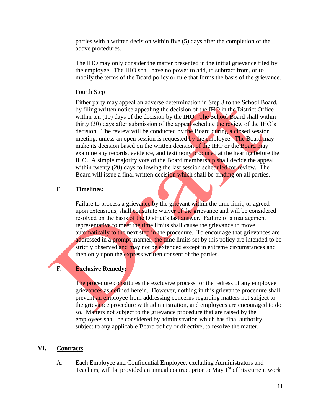parties with a written decision within five (5) days after the completion of the above procedures.

The IHO may only consider the matter presented in the initial grievance filed by the employee. The IHO shall have no power to add, to subtract from, or to modify the terms of the Board policy or rule that forms the basis of the grievance.

#### Fourth Step

Either party may appeal an adverse determination in Step 3 to the School Board, by filing written notice appealing the decision of the IHO in the District Office within ten  $(10)$  days of the decision by the IHO. The School Board shall within thirty (30) days after submission of the appeal schedule the review of the IHO's decision. The review will be conducted by the Board during a closed session meeting, unless an open session is requested by the employee. The Board may make its decision based on the written decision of the IHO or the **Board may** examine any records, evidence, and testimony produced at the hearing before the IHO. A simple majority vote of the Board membership shall decide the appeal within twenty (20) days following the last session scheduled for review. The Board will issue a final written decision which shall be binding on all parties.

#### E. **Timelines:**

Failure to process a grievance by the grievant within the time limit, or agreed upon extensions, shall constitute waiver of the grievance and will be considered resolved on the basis of the District's last answer. Failure of a management representative to meet the time limits shall cause the grievance to move automatically to the next step in the procedure. To encourage that grievances are addressed in a prompt manner, the time limits set by this policy are intended to be strictly observed and may not be extended except in extreme circumstances and then only upon the express written consent of the parties.

## F. **Exclusive Remedy:**

The procedure constitutes the exclusive process for the redress of any employee grievances as defined herein. However, nothing in this grievance procedure shall prevent an employee from addressing concerns regarding matters not subject to the grievance procedure with administration, and employees are encouraged to do so. Matters not subject to the grievance procedure that are raised by the employees shall be considered by administration which has final authority, subject to any applicable Board policy or directive, to resolve the matter.

#### **VI. Contracts**

A. Each Employee and Confidential Employee, excluding Administrators and Teachers, will be provided an annual contract prior to May  $1<sup>st</sup>$  of his current work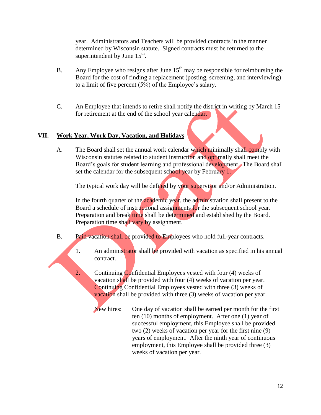year. Administrators and Teachers will be provided contracts in the manner determined by Wisconsin statute. Signed contracts must be returned to the superintendent by June  $15<sup>th</sup>$ .

- B. Any Employee who resigns after June  $15<sup>th</sup>$  may be responsible for reimbursing the Board for the cost of finding a replacement (posting, screening, and interviewing) to a limit of five percent (5%) of the Employee's salary.
- C. An Employee that intends to retire shall notify the district in writing by March 15 for retirement at the end of the school year calendar.

## **VII. Work Year, Work Day, Vacation, and Holidays**

A. The Board shall set the annual work calendar which minimally shall comply with Wisconsin statutes related to student instruction and optimally shall meet the Board's goals for student learning and professional development. The Board shall set the calendar for the subsequent school year by February 1.

The typical work day will be defined by your supervisor and/or Administration.

In the fourth quarter of the academic year, the administration shall present to the Board a schedule of instructional assignments for the subsequent school year. Preparation and break time shall be determined and established by the Board. Preparation time shall vary by assignment.

- B. Paid vacation shall be provided to Employees who hold full-year contracts.
	- 1. An administrator shall be provided with vacation as specified in his annual contract.
	- 2. Continuing Confidential Employees vested with four (4) weeks of vacation shall be provided with four (4) weeks of vacation per year. Continuing Confidential Employees vested with three (3) weeks of vacation shall be provided with three (3) weeks of vacation per year.

New hires: One day of vacation shall be earned per month for the first ten (10) months of employment. After one (1) year of successful employment, this Employee shall be provided two (2) weeks of vacation per year for the first nine (9) years of employment. After the ninth year of continuous employment, this Employee shall be provided three (3) weeks of vacation per year.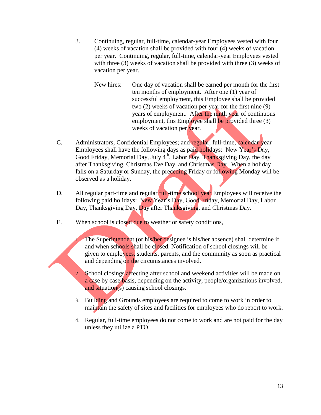- 3. Continuing, regular, full-time, calendar-year Employees vested with four (4) weeks of vacation shall be provided with four (4) weeks of vacation per year. Continuing, regular, full-time, calendar-year Employees vested with three (3) weeks of vacation shall be provided with three (3) weeks of vacation per year.
	- New hires: One day of vacation shall be earned per month for the first ten months of employment. After one (1) year of successful employment, this Employee shall be provided two (2) weeks of vacation per year for the first nine (9) years of employment. After the ninth year of continuous employment, this Employee shall be provided three (3) weeks of vacation per year.
- C. Administrators; Confidential Employees; and regular, full-time, calendar-year Employees shall have the following days as paid holidays: New Year's Day, Good Friday, Memorial Day, July  $4<sup>th</sup>$ , Labor Day, Thanksgiving Day, the day after Thanksgiving, Christmas Eve Day, and Christmas Day. When a holiday falls on a Saturday or Sunday, the preceding Friday or following Monday will be observed as a holiday.
- D. All regular part-time and regular **full-time** school year Employees will receive the following paid holidays: New Year's Day, Good Friday, Memorial Day, Labor Day, Thanksgiving Day, Day after Thanksgiving, and Christmas Day.
- E. When school is closed due to weather or safety conditions,
	- 1. The Superintendent (or his/her designee is his/her absence) shall determine if and when schools shall be closed. Notification of school closings will be given to employees, students, parents, and the community as soon as practical and depending on the circumstances involved.
	- 2. School closings affecting after school and weekend activities will be made on a case by case basis, depending on the activity, people/organizations involved, and situation(s) causing school closings.
	- 3. Building and Grounds employees are required to come to work in order to maintain the safety of sites and facilities for employees who do report to work.
	- 4. Regular, full-time employees do not come to work and are not paid for the day unless they utilize a PTO.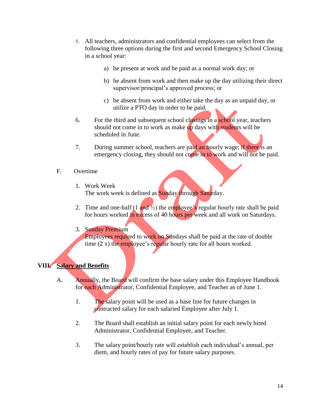- 5. All teachers, administrators and confidential employees can select from the following three options during the first and second Emergency School Closing in a school year:
	- a) be present at work and be paid as a normal work day; or
	- b) be absent from work and then make up the day utilizing their direct supervisor/principal's approved process; or
	- c) be absent from work and either take the day as an unpaid day, or utilize a PTO day in order to be paid.
- 6. For the third and subsequent school closings in a school year, teachers should not come in to work as make up days with students will be scheduled in June.
- 7. During summer school, teachers are paid an hourly wage; if there is an emergency closing, they should not come in to work and will not be paid.
- F. Overtime
	- 1. Work Week The work week is defined as **Sunday through Saturday**.
	- 2. Time and one-half  $(1 \text{ and } \frac{1}{2})$  the employee's regular hourly rate shall be paid for hours worked in excess of 40 hours per week and all work on Saturdays.
	- 3. Sunday Premium

Employees required to work on Sundays shall be paid at the rate of double time (2 x) the employee's regular hourly rate for all hours worked.

#### **VIII. Salary and Benefits**

- A. Annually, the Board will confirm the base salary under this Employee Handbook for each Administrator, Confidential Employee, and Teacher as of June 1.
	- 1. The salary point will be used as a base line for future changes in contracted salary for each salaried Employee after July 1.
	- 2. The Board shall establish an initial salary point for each newly hired Administrator, Confidential Employee, and Teacher.
	- 3. The salary point/hourly rate will establish each individual's annual, per diem, and hourly rates of pay for future salary purposes.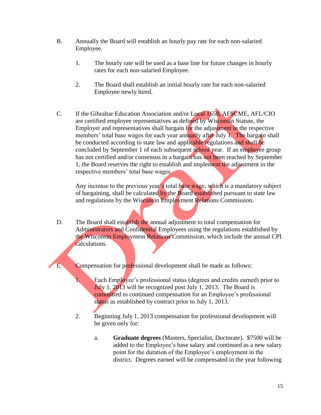- B. Annually the Board will establish an hourly pay rate for each non-salaried Employee.
	- 1. The hourly rate will be used as a base line for future changes in hourly rates for each non-salaried Employee.
	- 2. The Board shall establish an initial hourly rate for each non-salaried Employee newly hired.
- C. If the Gibraltar Education Association and/or Local 1658, AFSCME, AFL/CIO are certified employee representatives as defined by Wisconsin Statute, the Employer and representatives shall bargain for the adjustment in the respective members' total base wages for each year annually after July 1. The bargain shall be conducted according to state law and applicable regulations and shall be concluded by September 1 of each subsequent school year. If an employee group has not certified and/or consensus in a bargain has not been reached by September 1, the Board reserves the right to establish and implement the adjustment in the respective members' total base wages.

Any increase to the previous year's total base wage, which is a mandatory subject of bargaining, shall be calculated by the Board established pursuant to state law and regulations by the Wisconsin Employment Relations Commission.

- D. The Board shall establish the annual adjustment to total compensation for Administrators and Confidential Employees using the regulations established by the Wisconsin Employment Relations Commission, which include the annual CPI calculations.
- E. Compensation for professional development shall be made as follows:
	- 1. Each Employee's professional status (degrees and credits earned) prior to July 1, 2013 will be recognized post July 1, 2013. The Board is committed to continued compensation for an Employee's professional status as established by contract prior to July 1, 2013.
	- 2. Beginning July 1, 2013 compensation for professional development will be given only for:
		- a. **Graduate degrees** (Masters, Specialist, Doctorate). \$7500 will be added to the Employee's base salary and continued as a new salary point for the duration of the Employee's employment in the district. Degrees earned will be compensated in the year following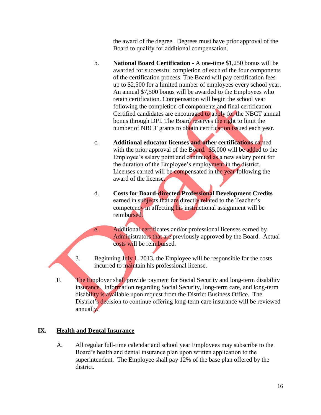the award of the degree. Degrees must have prior approval of the Board to qualify for additional compensation.

- b. **National Board Certification** A one-time \$1,250 bonus will be awarded for successful completion of each of the four components of the certification process. The Board will pay certification fees up to \$2,500 for a limited number of employees every school year. An annual \$7,500 bonus will be awarded to the Employees who retain certification. Compensation will begin the school year following the completion of components and final certification. Certified candidates are encouraged to apply for the NBCT annual bonus through DPI. The Board reserves the right to limit the number of NBCT grants to obtain certification issued each year.
- c. **Additional educator licenses and other certifications** earned with the prior approval of the Board. \$5,000 will be added to the Employee's salary point and continued as a new salary point for the duration of the Employee's employment in the district. Licenses earned will be compensated in the year following the award of the license.
- d. **Costs for Board-directed Professional Development Credits** earned in subjects that are directly related to the Teacher's competency in affecting his instructional assignment will be reimbursed.
- e. Additional certificates and/or professional licenses earned by Administrators that are previously approved by the Board. Actual costs will be reimbursed.
- 3. Beginning July 1, 2013, the Employee will be responsible for the costs incurred to maintain his professional license.
- F. The Employer shall provide payment for Social Security and long-term disability insurance. Information regarding Social Security, long-term care, and long-term disability is available upon request from the District Business Office. The District's decision to continue offering long-term care insurance will be reviewed annually.

## **IX. Health and Dental Insurance**

A. All regular full-time calendar and school year Employees may subscribe to the Board's health and dental insurance plan upon written application to the superintendent. The Employee shall pay 12% of the base plan offered by the district.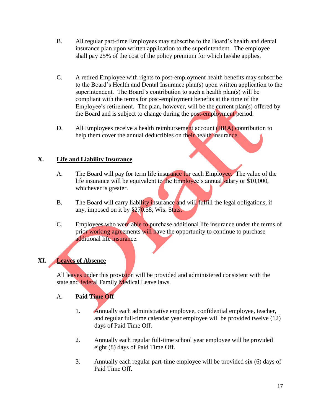- B. All regular part-time Employees may subscribe to the Board's health and dental insurance plan upon written application to the superintendent. The employee shall pay 25% of the cost of the policy premium for which he/she applies.
- C. A retired Employee with rights to post-employment health benefits may subscribe to the Board's Health and Dental Insurance plan(s) upon written application to the superintendent. The Board's contribution to such a health plan(s) will be compliant with the terms for post-employment benefits at the time of the Employee's retirement. The plan, however, will be the current plan(s) offered by the Board and is subject to change during the post-employment period.
- D. All Employees receive a health reimbursement account (HRA) contribution to help them cover the annual deductibles on their health insurance.

## **X. Life and Liability Insurance**

- A. The Board will pay for term life insurance for each Employee. The value of the life insurance will be equivalent to the Employee's annual salary or \$10,000, whichever is greater.
- B. The Board will carry liability insurance and will fulfill the legal obligations, if any, imposed on it by §270.58, Wis. Stats.
- C. Employees who were able to purchase additional life insurance under the terms of prior working agreements will have the opportunity to continue to purchase additional life insurance.

## **XI. Leaves of Absence**

All leaves under this provision will be provided and administered consistent with the state and federal Family Medical Leave laws.

## A. **Paid Time Off**

- 1. Annually each administrative employee, confidential employee, teacher, and regular full-time calendar year employee will be provided twelve (12) days of Paid Time Off.
- 2. Annually each regular full-time school year employee will be provided eight (8) days of Paid Time Off.
- 3. Annually each regular part-time employee will be provided six (6) days of Paid Time Off.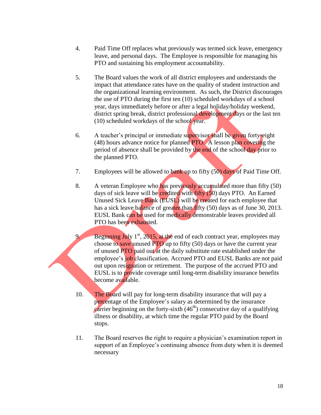- 4. Paid Time Off replaces what previously was termed sick leave, emergency leave, and personal days. The Employee is responsible for managing his PTO and sustaining his employment accountability.
- 5. The Board values the work of all district employees and understands the impact that attendance rates have on the quality of student instruction and the organizational learning environment. As such, the District discourages the use of PTO during the first ten (10) scheduled workdays of a school year, days immediately before or after a legal holiday/holiday weekend, district spring break, district professional development days or the last ten (10) scheduled workdays of the school year.
- 6. A teacher's principal or immediate supervisor shall be given forty-eight (48) hours advance notice for planned PTO. A lesson plan covering the period of absence shall be provided by the end of the school day prior to the planned PTO.
- 7. Employees will be allowed to bank up to fifty  $(50)$  days of Paid Time Off.
- 8. A veteran Employee who has previously accumulated more than fifty (50) days of sick leave will be credited with fifty (50) days PTO. An Earned Unused Sick Leave Bank (EUSL) will be created for each employee that has a sick leave balance of greater than fifty (50) days as of June 30, 2013. EUSL Bank can be used for medically demonstrable leaves provided all PTO has been exhausted.

9. Beginning July  $1<sup>st</sup>$ , 2015, at the end of each contract year, employees may choose to save unused PTO up to fifty (50) days or have the current year of unused PTO paid out at the daily substitute rate established under the employee's job classification. Accrued PTO and EUSL Banks are not paid out upon resignation or retirement. The purpose of the accrued PTO and EUSL is to provide coverage until long-term disability insurance benefits become available.

- 10. The Board will pay for long-term disability insurance that will pay a percentage of the Employee's salary as determined by the insurance carrier beginning on the forty-sixth  $(46<sup>th</sup>)$  consecutive day of a qualifying illness or disability, at which time the regular PTO paid by the Board stops.
- 11. The Board reserves the right to require a physician's examination report in support of an Employee's continuing absence from duty when it is deemed necessary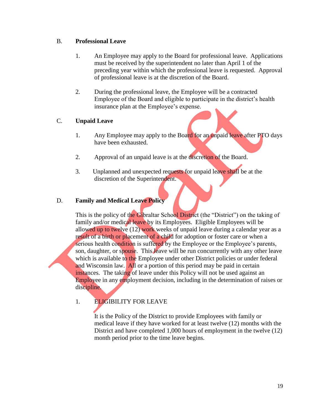## B. **Professional Leave**

- 1. An Employee may apply to the Board for professional leave. Applications must be received by the superintendent no later than April 1 of the preceding year within which the professional leave is requested. Approval of professional leave is at the discretion of the Board.
- 2. During the professional leave, the Employee will be a contracted Employee of the Board and eligible to participate in the district's health insurance plan at the Employee's expense.

## C. **Unpaid Leave**

- 1. Any Employee may apply to the Board for an unpaid leave after PTO days have been exhausted.
- 2. Approval of an unpaid leave is at the discretion of the Board.
- 3. Unplanned and unexpected requests for unpaid leave shall be at the discretion of the Superintendent.

## D. **Family and Medical Leave Policy**

This is the policy of the Gibraltar School District (the "District") on the taking of family and/or medical leave by its Employees. Eligible Employees will be allowed up to twelve (12) work weeks of unpaid leave during a calendar year as a result of a birth or placement of a child for adoption or foster care or when a serious health condition is suffered by the Employee or the Employee's parents, son, daughter, or spouse. This leave will be run concurrently with any other leave which is available to the Employee under other District policies or under federal and Wisconsin law. All or a portion of this period may be paid in certain instances. The taking of leave under this Policy will not be used against an Employee in any employment decision, including in the determination of raises or discipline.

1. ELIGIBILITY FOR LEAVE

It is the Policy of the District to provide Employees with family or medical leave if they have worked for at least twelve (12) months with the District and have completed 1,000 hours of employment in the twelve (12) month period prior to the time leave begins.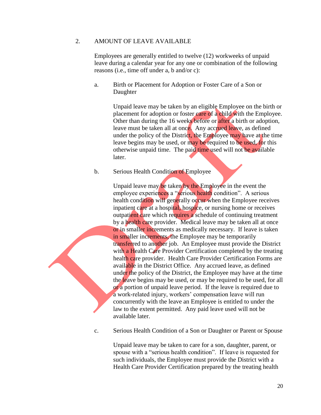#### 2. AMOUNT OF LEAVE AVAILABLE

Employees are generally entitled to twelve (12) workweeks of unpaid leave during a calendar year for any one or combination of the following reasons (i.e., time off under a, b and/or c):

a. Birth or Placement for Adoption or Foster Care of a Son or Daughter

> Unpaid leave may be taken by an eligible Employee on the birth or placement for adoption or foster care of a child with the Employee. Other than during the 16 weeks before or after a birth or adoption, leave must be taken all at once. Any accrued leave, as defined under the policy of the District, the Employee may have at the time leave begins may be used, or may be required to be used, for this otherwise unpaid time. The paid time used will not be available later.

#### b. Serious Health Condition of Employee

Unpaid leave may be taken by the Employee in the event the employee experiences a "serious health condition". A serious health condition will generally occur when the Employee receives inpatient care at a hospital, hospice, or nursing home or receives outpatient care which requires a schedule of continuing treatment by a health care provider. Medical leave may be taken all at once or in smaller increments as medically necessary. If leave is taken in smaller increments, the Employee may be temporarily transferred to another job. An Employee must provide the District with a Health Care Provider Certification completed by the treating health care provider. Health Care Provider Certification Forms are available in the District Office. Any accrued leave, as defined under the policy of the District, the Employee may have at the time the leave begins may be used, or may be required to be used, for all or a portion of unpaid leave period. If the leave is required due to a work-related injury, workers' compensation leave will run concurrently with the leave an Employee is entitled to under the law to the extent permitted. Any paid leave used will not be available later.

c. Serious Health Condition of a Son or Daughter or Parent or Spouse

Unpaid leave may be taken to care for a son, daughter, parent, or spouse with a "serious health condition". If leave is requested for such individuals, the Employee must provide the District with a Health Care Provider Certification prepared by the treating health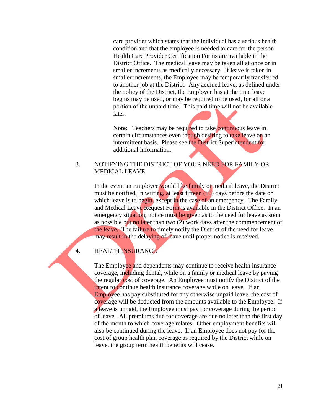care provider which states that the individual has a serious health condition and that the employee is needed to care for the person. Health Care Provider Certification Forms are available in the District Office. The medical leave may be taken all at once or in smaller increments as medically necessary. If leave is taken in smaller increments, the Employee may be temporarily transferred to another job at the District. Any accrued leave, as defined under the policy of the District, the Employee has at the time leave begins may be used, or may be required to be used, for all or a portion of the unpaid time. This paid time will not be available later.

**Note:** Teachers may be required to take continuous leave in certain circumstances even though desiring to take leave on an intermittent basis. Please see the District Superintendent for additional information.

## 3. NOTIFYING THE DISTRICT OF YOUR NEED FOR FAMILY OR MEDICAL LEAVE

In the event an Employee would like family or medical leave, the District must be notified, in writing, at least fifteen (15) days before the date on which leave is to begin, except in the case of an emergency. The Family and Medical Leave Request Form is available in the District Office. In an emergency situation, notice must be given as to the need for leave as soon as possible but no later than two (2) work days after the commencement of the leave. The failure to timely notify the District of the need for leave may result in the delaying of leave until proper notice is received.

## 4. HEALTH INSURANCE

The Employee and dependents may continue to receive health insurance coverage, including dental, while on a family or medical leave by paying the regular cost of coverage. An Employee must notify the District of the intent to continue health insurance coverage while on leave. If an Employee has pay substituted for any otherwise unpaid leave, the cost of coverage will be deducted from the amounts available to the Employee. If a leave is unpaid, the Employee must pay for coverage during the period of leave. All premiums due for coverage are due no later than the first day of the month to which coverage relates. Other employment benefits will also be continued during the leave. If an Employee does not pay for the cost of group health plan coverage as required by the District while on leave, the group term health benefits will cease.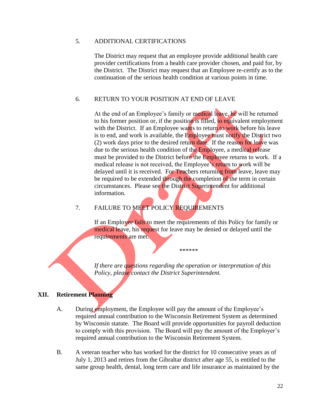#### 5. ADDITIONAL CERTIFICATIONS

The District may request that an employee provide additional health care provider certifications from a health care provider chosen, and paid for, by the District. The District may request that an Employee re-certify as to the continuation of the serious health condition at various points in time.

## 6. RETURN TO YOUR POSITION AT END OF LEAVE

At the end of an Employee's family or medical leave, he will be returned to his former position or, if the position is filled, to equivalent employment with the District. If an Employee wants to return to work before his leave is to end, and work is available, the Employee must notify the District two (2) work days prior to the desired return date. If the reason for leave was due to the serious health condition of the Employee, a medical release must be provided to the District before the Employee returns to work. If a medical release is not received, the Employee's return to work will be delayed until it is received. For Teachers returning from leave, leave may be required to be extended through the completion of the term in certain circumstances. Please see the District Superintendent for additional information.

## 7. FAILURE TO MEET POLICY REQUIREMENTS

If an Employee fails to meet the requirements of this Policy for family or medical leave, his request for leave may be denied or delayed until the requirements are met.

\*\*\*\*\*\*

*If there are questions regarding the operation or interpretation of this Policy, please contact the District Superintendent.*

## **XII. Retirement Planning**

- A. During employment, the Employee will pay the amount of the Employee's required annual contribution to the Wisconsin Retirement System as determined by Wisconsin statute. The Board will provide opportunities for payroll deduction to comply with this provision. The Board will pay the amount of the Employer's required annual contribution to the Wisconsin Retirement System.
- B. A veteran teacher who has worked for the district for 10 consecutive years as of July 1, 2013 and retires from the Gibraltar district after age 55, is entitled to the same group health, dental, long term care and life insurance as maintained by the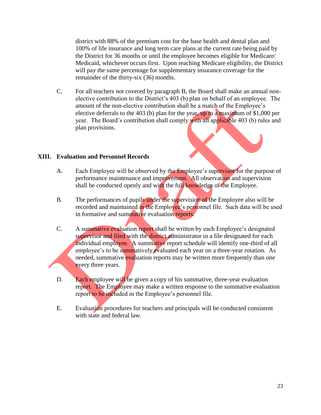district with 88% of the premium cost for the base health and dental plan and 100% of life insurance and long term care plans at the current rate being paid by the District for 36 months or until the employee becomes eligible for Medicare/ Medicaid, whichever occurs first. Upon reaching Medicare eligibility, the District will pay the same percentage for supplementary insurance coverage for the remainder of the thirty-six (36) months.

C. For all teachers not covered by paragraph B, the Board shall make an annual nonelective contribution to the District's 403 (b) plan on behalf of an employee. The amount of the non-elective contribution shall be a match of the Employee's elective deferrals to the 403 (b) plan for the year, up to a maximum of \$1,000 per year. The Board's contribution shall comply with all applicable 403 (b) rules and plan provisions.

#### **XIII. Evaluation and Personnel Records**

- A. Each Employee will be observed by the Employee's supervisor for the purpose of performance maintenance and improvement. All observation and supervision shall be conducted openly and with the full knowledge of the Employee.
- B. The performances of pupils under the supervision of the Employee also will be recorded and maintained in the Employee's personnel file. Such data will be used in formative and summative evaluation reports.
- C. A summative evaluation report shall be written by each Employee's designated supervisor and filed with the district administrator in a file designated for each individual employee. A summative report schedule will identify one-third of all employee's to be summatively evaluated each year on a three-year rotation. As needed, summative evaluation reports may be written more frequently than one every three years.
- D. Each employee will be given a copy of his summative, three-year evaluation report. The Employee may make a written response to the summative evaluation report to be included in the Employee's personnel file.
- E. Evaluation procedures for teachers and principals will be conducted consistent with state and federal law.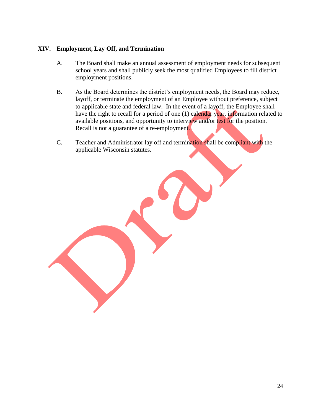## **XIV. Employment, Lay Off, and Termination**

- A. The Board shall make an annual assessment of employment needs for subsequent school years and shall publicly seek the most qualified Employees to fill district employment positions.
- B. As the Board determines the district's employment needs, the Board may reduce, layoff, or terminate the employment of an Employee without preference, subject to applicable state and federal law. In the event of a layoff, the Employee shall have the right to recall for a period of one (1) calendar year, information related to available positions, and opportunity to interview and/or test for the position. Recall is not a guarantee of a re-employment.
- C. Teacher and Administrator lay off and termination shall be compliant with the applicable Wisconsin statutes.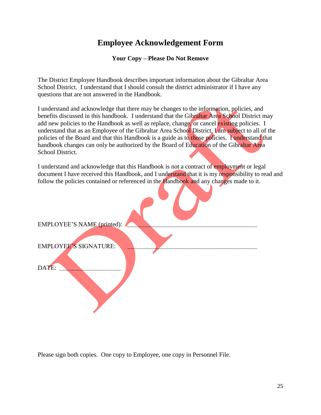# **Employee Acknowledgement Form**

**Your Copy – Please Do Not Remove**

The District Employee Handbook describes important information about the Gibraltar Area School District. I understand that I should consult the district administrator if I have any questions that are not answered in the Handbook.

I understand and acknowledge that there may be changes to the information, policies, and benefits discussed in this handbook. I understand that the Gibraltar Area School District may add new policies to the Handbook as well as replace, change, or cancel existing policies. I understand that as an Employee of the Gibraltar Area School District, I am subject to all of the policies of the Board and that this Handbook is a guide as to those policies. I understand that handbook changes can only be authorized by the Board of Education of the Gibraltar Area School District.

I understand and acknowledge that this Handbook is not a contract of employment or legal document I have received this Handbook, and I understand that it is my responsibility to read and follow the policies contained or referenced in the Handbook and any changes made to it.

| EMPLOYEE'S NAME (printed):   |  |
|------------------------------|--|
|                              |  |
| <b>EMPLOYEE'S SIGNATURE:</b> |  |
|                              |  |
| DATE:                        |  |
|                              |  |
|                              |  |
|                              |  |
|                              |  |

Please sign both copies. One copy to Employee, one copy in Personnel File.